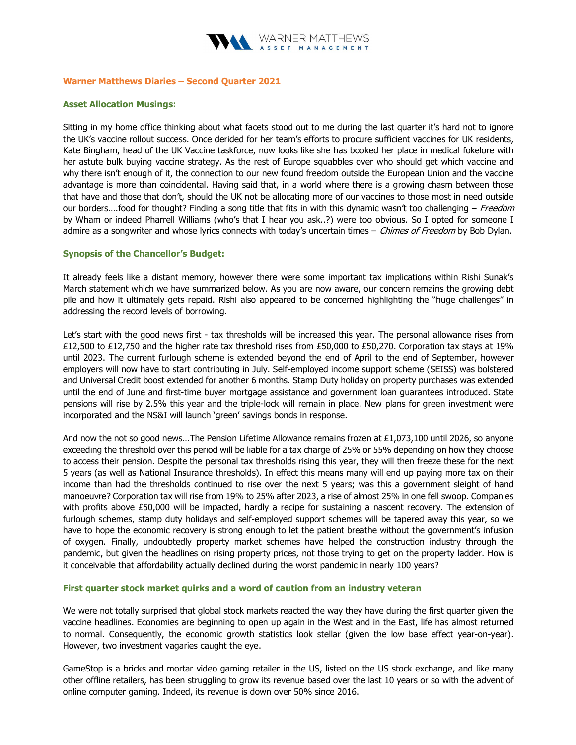

### Warner Matthews Diaries – Second Quarter 2021

## Asset Allocation Musings:

Sitting in my home office thinking about what facets stood out to me during the last quarter it's hard not to ignore the UK's vaccine rollout success. Once derided for her team's efforts to procure sufficient vaccines for UK residents, Kate Bingham, head of the UK Vaccine taskforce, now looks like she has booked her place in medical fokelore with her astute bulk buying vaccine strategy. As the rest of Europe squabbles over who should get which vaccine and why there isn't enough of it, the connection to our new found freedom outside the European Union and the vaccine advantage is more than coincidental. Having said that, in a world where there is a growing chasm between those that have and those that don't, should the UK not be allocating more of our vaccines to those most in need outside our borders....food for thought? Finding a song title that fits in with this dynamic wasn't too challenging – Freedom by Wham or indeed Pharrell Williams (who's that I hear you ask..?) were too obvious. So I opted for someone I admire as a songwriter and whose lyrics connects with today's uncertain times – Chimes of Freedom by Bob Dylan.

## Synopsis of the Chancellor's Budget:

It already feels like a distant memory, however there were some important tax implications within Rishi Sunak's March statement which we have summarized below. As you are now aware, our concern remains the growing debt pile and how it ultimately gets repaid. Rishi also appeared to be concerned highlighting the "huge challenges" in addressing the record levels of borrowing.

Let's start with the good news first - tax thresholds will be increased this year. The personal allowance rises from £12,500 to £12,750 and the higher rate tax threshold rises from £50,000 to £50,270. Corporation tax stays at 19% until 2023. The current furlough scheme is extended beyond the end of April to the end of September, however employers will now have to start contributing in July. Self-employed income support scheme (SEISS) was bolstered and Universal Credit boost extended for another 6 months. Stamp Duty holiday on property purchases was extended until the end of June and first-time buyer mortgage assistance and government loan guarantees introduced. State pensions will rise by 2.5% this year and the triple-lock will remain in place. New plans for green investment were incorporated and the NS&I will launch 'green' savings bonds in response.

And now the not so good news…The Pension Lifetime Allowance remains frozen at £1,073,100 until 2026, so anyone exceeding the threshold over this period will be liable for a tax charge of 25% or 55% depending on how they choose to access their pension. Despite the personal tax thresholds rising this year, they will then freeze these for the next 5 years (as well as National Insurance thresholds). In effect this means many will end up paying more tax on their income than had the thresholds continued to rise over the next 5 years; was this a government sleight of hand manoeuvre? Corporation tax will rise from 19% to 25% after 2023, a rise of almost 25% in one fell swoop. Companies with profits above £50,000 will be impacted, hardly a recipe for sustaining a nascent recovery. The extension of furlough schemes, stamp duty holidays and self-employed support schemes will be tapered away this year, so we have to hope the economic recovery is strong enough to let the patient breathe without the government's infusion of oxygen. Finally, undoubtedly property market schemes have helped the construction industry through the pandemic, but given the headlines on rising property prices, not those trying to get on the property ladder. How is it conceivable that affordability actually declined during the worst pandemic in nearly 100 years?

### First quarter stock market quirks and a word of caution from an industry veteran

We were not totally surprised that global stock markets reacted the way they have during the first quarter given the vaccine headlines. Economies are beginning to open up again in the West and in the East, life has almost returned to normal. Consequently, the economic growth statistics look stellar (given the low base effect year-on-year). However, two investment vagaries caught the eye.

GameStop is a bricks and mortar video gaming retailer in the US, listed on the US stock exchange, and like many other offline retailers, has been struggling to grow its revenue based over the last 10 years or so with the advent of online computer gaming. Indeed, its revenue is down over 50% since 2016.